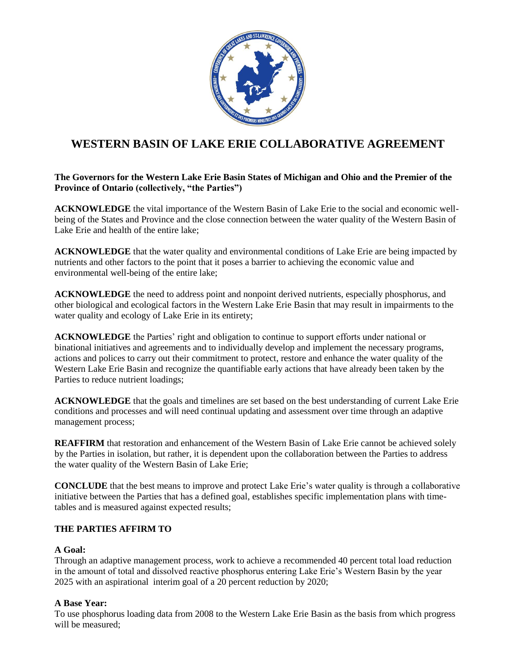

# **WESTERN BASIN OF LAKE ERIE COLLABORATIVE AGREEMENT**

## **The Governors for the Western Lake Erie Basin States of Michigan and Ohio and the Premier of the Province of Ontario (collectively, "the Parties")**

**ACKNOWLEDGE** the vital importance of the Western Basin of Lake Erie to the social and economic wellbeing of the States and Province and the close connection between the water quality of the Western Basin of Lake Erie and health of the entire lake;

**ACKNOWLEDGE** that the water quality and environmental conditions of Lake Erie are being impacted by nutrients and other factors to the point that it poses a barrier to achieving the economic value and environmental well-being of the entire lake;

**ACKNOWLEDGE** the need to address point and nonpoint derived nutrients, especially phosphorus, and other biological and ecological factors in the Western Lake Erie Basin that may result in impairments to the water quality and ecology of Lake Erie in its entirety;

**ACKNOWLEDGE** the Parties' right and obligation to continue to support efforts under national or binational initiatives and agreements and to individually develop and implement the necessary programs, actions and polices to carry out their commitment to protect, restore and enhance the water quality of the Western Lake Erie Basin and recognize the quantifiable early actions that have already been taken by the Parties to reduce nutrient loadings;

**ACKNOWLEDGE** that the goals and timelines are set based on the best understanding of current Lake Erie conditions and processes and will need continual updating and assessment over time through an adaptive management process;

**REAFFIRM** that restoration and enhancement of the Western Basin of Lake Erie cannot be achieved solely by the Parties in isolation, but rather, it is dependent upon the collaboration between the Parties to address the water quality of the Western Basin of Lake Erie;

**CONCLUDE** that the best means to improve and protect Lake Erie's water quality is through a collaborative initiative between the Parties that has a defined goal, establishes specific implementation plans with timetables and is measured against expected results;

# **THE PARTIES AFFIRM TO**

#### **A Goal:**

Through an adaptive management process, work to achieve a recommended 40 percent total load reduction in the amount of total and dissolved reactive phosphorus entering Lake Erie's Western Basin by the year 2025 with an aspirational interim goal of a 20 percent reduction by 2020;

#### **A Base Year:**

To use phosphorus loading data from 2008 to the Western Lake Erie Basin as the basis from which progress will be measured;